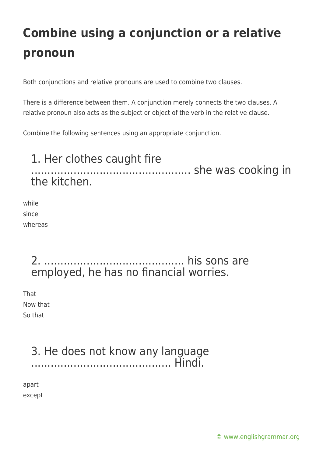Both conjunctions and relative pronouns are used to combine two clauses.

There is a difference between them. A conjunction merely connects the two clauses. A relative pronoun also acts as the subject or object of the verb in the relative clause.

Combine the following sentences using an appropriate conjunction.

### 1. Her clothes caught fire ................................................. she was cooking in the kitchen.

while since whereas

### 2. ........................................... his sons are employed, he has no financial worries.

That Now that So that

### 3. He does not know any language ........................................... Hindi.

apart except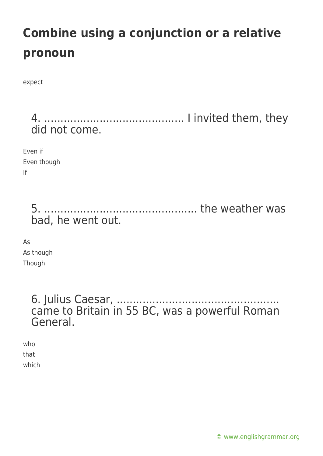expect

4. ........................................... I invited them, they did not come.

Even if Even though If

> 5. ............................................... the weather was bad, he went out.

As As though Though

> 6. Julius Caesar, .......................... came to Britain in 55 BC, was a powerful Roman General.

who that which

[© www.englishgrammar.org](https://www.englishgrammar.org/)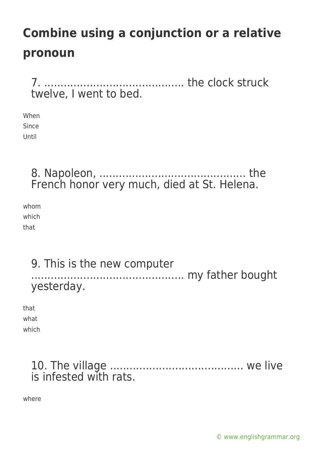7. ........................................... the clock struck twelve, I went to bed.

When Since Until

> 8. Napoleon, ............................................. the French honor very much, died at St. Helena.

whom which that

> 9. This is the new computer ............................................... my father bought yesterday.

that what which

> 10. The village ......................................... we live is infested with rats.

where